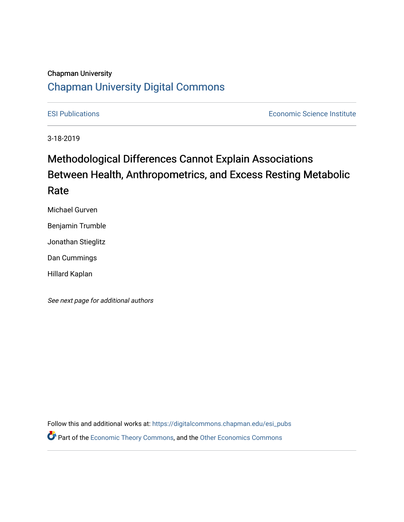#### Chapman University

## [Chapman University Digital Commons](https://digitalcommons.chapman.edu/)

[ESI Publications](https://digitalcommons.chapman.edu/esi_pubs) [Economic Science Institute](https://digitalcommons.chapman.edu/esi) 

3-18-2019

# Methodological Differences Cannot Explain Associations Between Health, Anthropometrics, and Excess Resting Metabolic Rate

Michael Gurven

Benjamin Trumble

Jonathan Stieglitz

Dan Cummings

Hillard Kaplan

See next page for additional authors

Follow this and additional works at: [https://digitalcommons.chapman.edu/esi\\_pubs](https://digitalcommons.chapman.edu/esi_pubs?utm_source=digitalcommons.chapman.edu%2Fesi_pubs%2F269&utm_medium=PDF&utm_campaign=PDFCoverPages)  **P** Part of the [Economic Theory Commons](http://network.bepress.com/hgg/discipline/344?utm_source=digitalcommons.chapman.edu%2Fesi_pubs%2F269&utm_medium=PDF&utm_campaign=PDFCoverPages), and the Other Economics Commons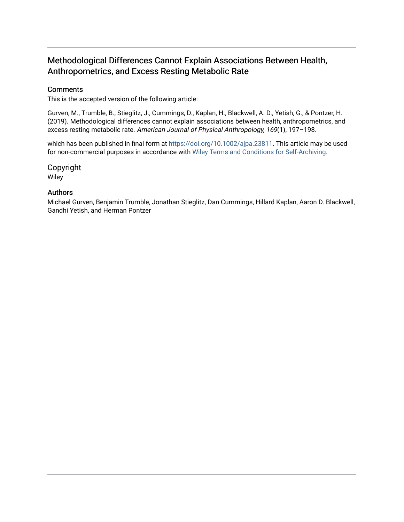### Methodological Differences Cannot Explain Associations Between Health, Anthropometrics, and Excess Resting Metabolic Rate

#### **Comments**

This is the accepted version of the following article:

Gurven, M., Trumble, B., Stieglitz, J., Cummings, D., Kaplan, H., Blackwell, A. D., Yetish, G., & Pontzer, H. (2019). Methodological differences cannot explain associations between health, anthropometrics, and excess resting metabolic rate. American Journal of Physical Anthropology, 169(1), 197–198.

which has been published in final form at <https://doi.org/10.1002/ajpa.23811>. This article may be used for non-commercial purposes in accordance with [Wiley Terms and Conditions for Self-Archiving](http://olabout.wiley.com/WileyCDA/Section/id-820227.html#terms).

Copyright Wiley

#### Authors

Michael Gurven, Benjamin Trumble, Jonathan Stieglitz, Dan Cummings, Hillard Kaplan, Aaron D. Blackwell, Gandhi Yetish, and Herman Pontzer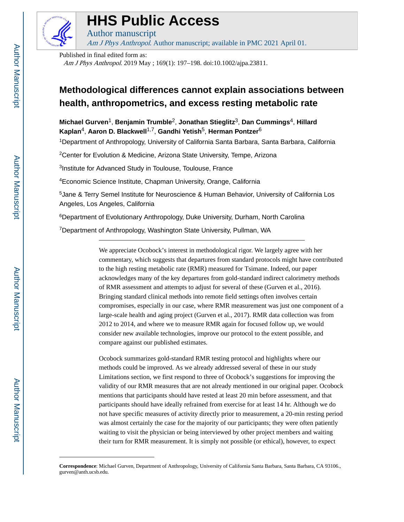

# **HHS Public Access**

Am J Phys Anthropol. Author manuscript; available in PMC 2021 April 01.

Published in final edited form as:

Author manuscript

Am J Phys Anthropol. 2019 May ; 169(1): 197–198. doi:10.1002/ajpa.23811.

# **Methodological differences cannot explain associations between health, anthropometrics, and excess resting metabolic rate**

**Michael Gurven**1, **Benjamin Trumble**2, **Jonathan Stieglitz**3, **Dan Cummings**4, **Hillard Kaplan**4, **Aaron D. Blackwell**1,7, **Gandhi Yetish**5, **Herman Pontzer**<sup>6</sup>

<sup>1</sup>Department of Anthropology, University of California Santa Barbara, Santa Barbara, California

<sup>2</sup>Center for Evolution & Medicine, Arizona State University, Tempe, Arizona

3 Institute for Advanced Study in Toulouse, Toulouse, France

<sup>4</sup>Economic Science Institute, Chapman University, Orange, California

<sup>5</sup>Jane & Terry Semel Institute for Neuroscience & Human Behavior, University of California Los Angeles, Los Angeles, California

<sup>6</sup>Department of Evolutionary Anthropology, Duke University, Durham, North Carolina

<sup>7</sup>Department of Anthropology, Washington State University, Pullman, WA

We appreciate Ocobock's interest in methodological rigor. We largely agree with her commentary, which suggests that departures from standard protocols might have contributed to the high resting metabolic rate (RMR) measured for Tsimane. Indeed, our paper acknowledges many of the key departures from gold-standard indirect calorimetry methods of RMR assessment and attempts to adjust for several of these (Gurven et al., 2016). Bringing standard clinical methods into remote field settings often involves certain compromises, especially in our case, where RMR measurement was just one component of a large-scale health and aging project (Gurven et al., 2017). RMR data collection was from 2012 to 2014, and where we to measure RMR again for focused follow up, we would consider new available technologies, improve our protocol to the extent possible, and compare against our published estimates.

Ocobock summarizes gold-standard RMR testing protocol and highlights where our methods could be improved. As we already addressed several of these in our study Limitations section, we first respond to three of Ocobock's suggestions for improving the validity of our RMR measures that are not already mentioned in our original paper. Ocobock mentions that participants should have rested at least 20 min before assessment, and that participants should have ideally refrained from exercise for at least 14 hr. Although we do not have specific measures of activity directly prior to measurement, a 20-min resting period was almost certainly the case for the majority of our participants; they were often patiently waiting to visit the physician or being interviewed by other project members and waiting their turn for RMR measurement. It is simply not possible (or ethical), however, to expect

**Correspondence**: Michael Gurven, Department of Anthropology, University of California Santa Barbara, Santa Barbara, CA 93106., gurven@anth.ucsb.edu.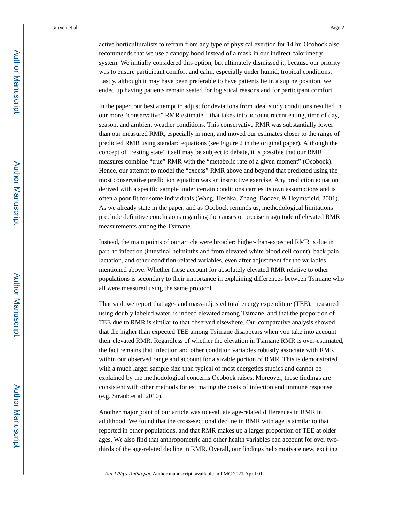active horticulturalists to refrain from any type of physical exertion for 14 hr. Ocobock also recommends that we use a canopy hood instead of a mask in our indirect calorimetry system. We initially considered this option, but ultimately dismissed it, because our priority was to ensure participant comfort and calm, especially under humid, tropical conditions. Lastly, although it may have been preferable to have patients lie in a supine position, we ended up having patients remain seated for logistical reasons and for participant comfort.

In the paper, our best attempt to adjust for deviations from ideal study conditions resulted in our more "conservative" RMR estimate—that takes into account recent eating, time of day, season, and ambient weather conditions. This conservative RMR was substantially lower than our measured RMR, especially in men, and moved our estimates closer to the range of predicted RMR using standard equations (see Figure 2 in the original paper). Although the concept of "resting state" itself may be subject to debate, it is possible that our RMR measures combine "true" RMR with the "metabolic rate of a given moment" (Ocobock). Hence, our attempt to model the "excess" RMR above and beyond that predicted using the most conservative prediction equation was an instructive exercise. Any prediction equation derived with a specific sample under certain conditions carries its own assumptions and is often a poor fit for some individuals (Wang, Heshka, Zhang, Boozer, & Heymsfield, 2001). As we already state in the paper, and as Ocobock reminds us, methodological limitations preclude definitive conclusions regarding the causes or precise magnitude of elevated RMR measurements among the Tsimane.

Instead, the main points of our article were broader: higher-than-expected RMR is due in part, to infection (intestinal helminths and from elevated white blood cell count), back pain, lactation, and other condition-related variables, even after adjustment for the variables mentioned above. Whether these account for absolutely elevated RMR relative to other populations is secondary to their importance in explaining differences between Tsimane who all were measured using the same protocol.

That said, we report that age- and mass-adjusted total energy expenditure (TEE), measured using doubly labeled water, is indeed elevated among Tsimane, and that the proportion of TEE due to RMR is similar to that observed elsewhere. Our comparative analysis showed that the higher than expected TEE among Tsimane disappears when you take into account their elevated RMR. Regardless of whether the elevation in Tsimane RMR is over-estimated, the fact remains that infection and other condition variables robustly associate with RMR within our observed range and account for a sizable portion of RMR. This is demonstrated with a much larger sample size than typical of most energetics studies and cannot be explained by the methodological concerns Ocobock raises. Moreover, these findings are consistent with other methods for estimating the costs of infection and immune response (e.g. Straub et al. 2010).

Another major point of our article was to evaluate age-related differences in RMR in adulthood. We found that the cross-sectional decline in RMR with age is similar to that reported in other populations, and that RMR makes up a larger proportion of TEE at older ages. We also find that anthropometric and other health variables can account for over twothirds of the age-related decline in RMR. Overall, our findings help motivate new, exciting

Am J Phys Anthropol. Author manuscript; available in PMC 2021 April 01.